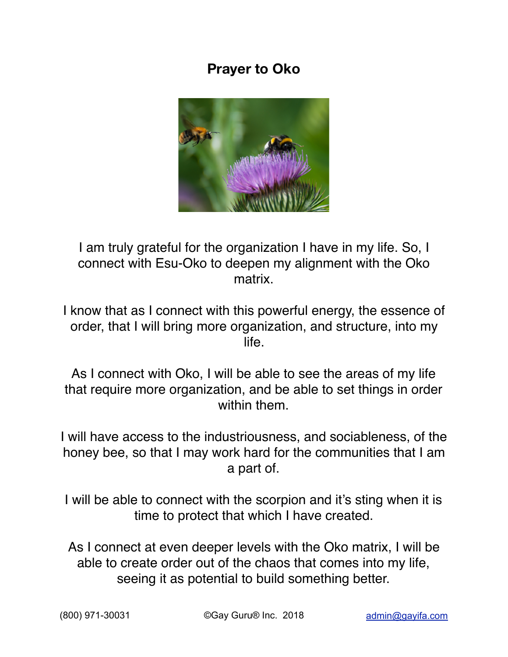## **Prayer to Oko**



I am truly grateful for the organization I have in my life. So, I connect with Esu-Oko to deepen my alignment with the Oko matrix.

I know that as I connect with this powerful energy, the essence of order, that I will bring more organization, and structure, into my life.

As I connect with Oko, I will be able to see the areas of my life that require more organization, and be able to set things in order within them.

I will have access to the industriousness, and sociableness, of the honey bee, so that I may work hard for the communities that I am a part of.

I will be able to connect with the scorpion and it's sting when it is time to protect that which I have created.

As I connect at even deeper levels with the Oko matrix, I will be able to create order out of the chaos that comes into my life, seeing it as potential to build something better.